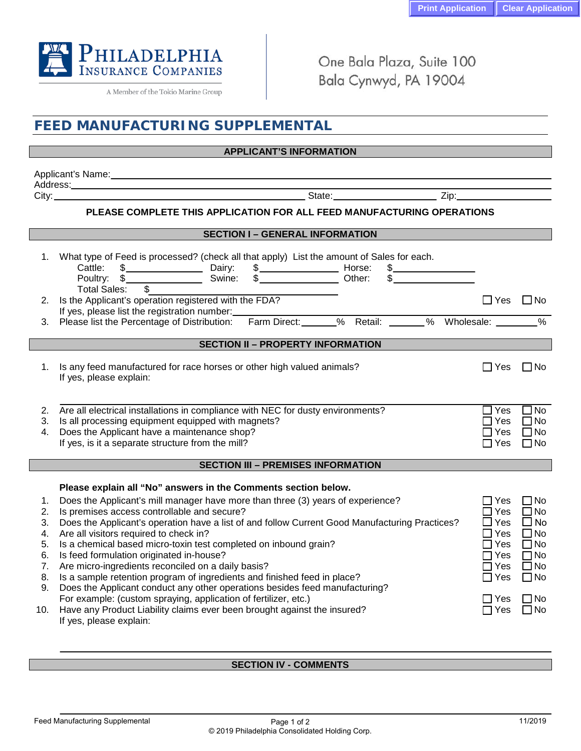

A Member of the Tokio Marine Group

One Bala Plaza, Suite 100 Bala Cynwyd, PA 19004

| <b>FEED MANUFACTURING SUPPLEMENTAL</b>                                                                                                                                                                                         |                                                                                                                                                                                                                                                                                |                                |                        |
|--------------------------------------------------------------------------------------------------------------------------------------------------------------------------------------------------------------------------------|--------------------------------------------------------------------------------------------------------------------------------------------------------------------------------------------------------------------------------------------------------------------------------|--------------------------------|------------------------|
| <b>Example 19 APPLICANT'S INFORMATION ARE AN ABOVE AN ABOVE AN ABOVE AN ABOVE AN ABOVE AN ABOVE AN ABOVE A</b>                                                                                                                 |                                                                                                                                                                                                                                                                                |                                |                        |
| Applicant's Name: and the contract of the contract of the contract of the contract of the contract of the contract of the contract of the contract of the contract of the contract of the contract of the contract of the cont |                                                                                                                                                                                                                                                                                |                                |                        |
|                                                                                                                                                                                                                                |                                                                                                                                                                                                                                                                                |                                |                        |
| PLEASE COMPLETE THIS APPLICATION FOR ALL FEED MANUFACTURING OPERATIONS                                                                                                                                                         |                                                                                                                                                                                                                                                                                |                                |                        |
|                                                                                                                                                                                                                                |                                                                                                                                                                                                                                                                                |                                |                        |
| <b>SECTION I - GENERAL INFORMATION</b>                                                                                                                                                                                         |                                                                                                                                                                                                                                                                                |                                |                        |
| 1.                                                                                                                                                                                                                             | What type of Feed is processed? (check all that apply) List the amount of Sales for each.<br>Total Sales:<br>$\mathbb{S}$                                                                                                                                                      |                                |                        |
| 2.                                                                                                                                                                                                                             | Is the Applicant's operation registered with the FDA?                                                                                                                                                                                                                          | $\Box$ Yes $\Box$ No           |                        |
|                                                                                                                                                                                                                                | If yes, please list the registration number:<br>Please list the Percentage of Distribution: Farm Direct: 6 % Retail: 4 % Wholesale: 4 % Wholesale: 4 % Wholesale: 4 % Wholesale: 4 % Wholesale: 4 % Wholesale: 4 % Wholesale: 4 % Wholesale: 4 % Wholesale: 4 % Wholesale: 4 % |                                |                        |
| З.                                                                                                                                                                                                                             |                                                                                                                                                                                                                                                                                |                                |                        |
| <b>SECTION II - PROPERTY INFORMATION</b>                                                                                                                                                                                       |                                                                                                                                                                                                                                                                                |                                |                        |
| 1.                                                                                                                                                                                                                             | Is any feed manufactured for race horses or other high valued animals?<br>If yes, please explain:                                                                                                                                                                              | $\Box$ Yes                     | $\Box$ No              |
| 2.                                                                                                                                                                                                                             | Are all electrical installations in compliance with NEC for dusty environments?                                                                                                                                                                                                | $\Box$ Yes                     | $\Box$ No              |
| 3.                                                                                                                                                                                                                             | Is all processing equipment equipped with magnets?                                                                                                                                                                                                                             | Yes                            | $\Box$ No              |
| 4.                                                                                                                                                                                                                             | Does the Applicant have a maintenance shop?                                                                                                                                                                                                                                    | ⊿ Yes                          | $\Box$ No              |
|                                                                                                                                                                                                                                | If yes, is it a separate structure from the mill?                                                                                                                                                                                                                              | $\Box$ Yes                     | $\Box$ No              |
| <b>SECTION III - PREMISES INFORMATION</b>                                                                                                                                                                                      |                                                                                                                                                                                                                                                                                |                                |                        |
|                                                                                                                                                                                                                                |                                                                                                                                                                                                                                                                                |                                |                        |
|                                                                                                                                                                                                                                | Please explain all "No" answers in the Comments section below.                                                                                                                                                                                                                 |                                |                        |
| 1.<br>2.                                                                                                                                                                                                                       | Does the Applicant's mill manager have more than three (3) years of experience?<br>Is premises access controllable and secure?                                                                                                                                                 | $\square$ Yes<br>$\square$ Yes | $\Box$ No<br>$\Box$ No |
| 3.                                                                                                                                                                                                                             | Does the Applicant's operation have a list of and follow Current Good Manufacturing Practices?                                                                                                                                                                                 | $\square$ Yes                  | $\Box$ No              |
| 4.                                                                                                                                                                                                                             | Are all visitors required to check in?                                                                                                                                                                                                                                         | $\Box$ Yes                     | $\square$ No           |
|                                                                                                                                                                                                                                | Is a chemical based micro-toxin test completed on inbound grain?                                                                                                                                                                                                               | ∏Yes                           | $\Box$ No              |
| 6.                                                                                                                                                                                                                             | Is feed formulation originated in-house?                                                                                                                                                                                                                                       | $\Box$ Yes                     | $\square$ No           |
| 7.                                                                                                                                                                                                                             | Are micro-ingredients reconciled on a daily basis?                                                                                                                                                                                                                             | $7$ Yes                        | $\square$ No           |
| 8.                                                                                                                                                                                                                             | Is a sample retention program of ingredients and finished feed in place?                                                                                                                                                                                                       | $\Box$ Yes                     | $\Box$ No              |
| 9.                                                                                                                                                                                                                             | Does the Applicant conduct any other operations besides feed manufacturing?                                                                                                                                                                                                    |                                |                        |
|                                                                                                                                                                                                                                | For example: (custom spraying, application of fertilizer, etc.)                                                                                                                                                                                                                | $\Box$ Yes                     | $\square$ No           |
| 10.                                                                                                                                                                                                                            | Have any Product Liability claims ever been brought against the insured?<br>If yes, please explain:                                                                                                                                                                            | $\Box$ Yes                     | $\square$ No           |

## **SECTION IV - COMMENTS**